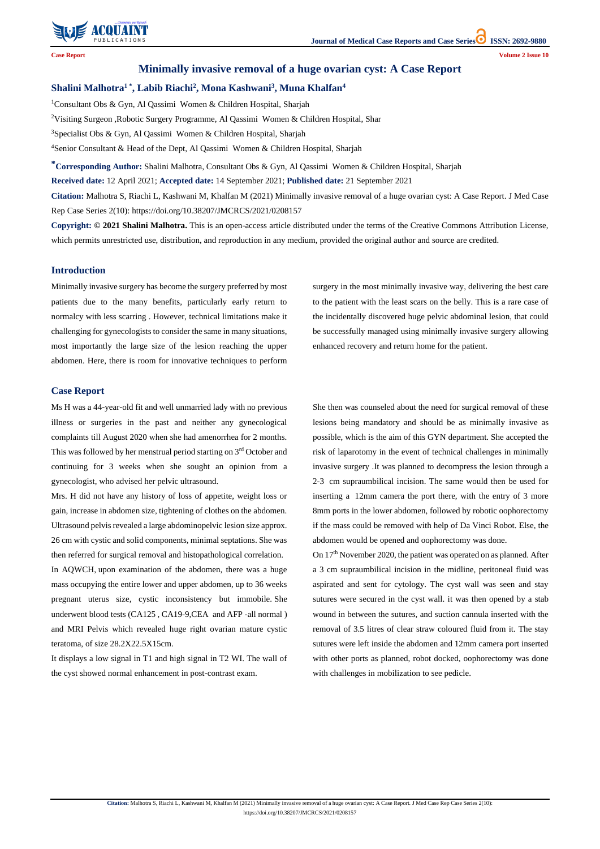

# **Journal of Medical Case Reports and Case Series ISSN: 2692-9880**

**Citation:** Malhotra S, Riachi L, Kashwani M, Khalfan M (2021) Minimally invasive removal of a huge ovarian cyst: A Case Report. J Med Case Rep Case Series 2(10):

https://doi.org/10.38207/JMCRCS/2021/0208157

**Case Report Volume 2 Issue 10**

## **Minimally invasive removal of a huge ovarian cyst: A Case Report**

## **Shalini Malhotra1 \*, Labib Riachi<sup>2</sup> , Mona Kashwani<sup>3</sup> , Muna Khalfan<sup>4</sup>**

<sup>1</sup>Consultant Obs & Gyn, Al Qassimi Women & Children Hospital, Sharjah

<sup>2</sup>Visiting Surgeon ,Robotic Surgery Programme, Al Qassimi Women & Children Hospital, Shar

<sup>3</sup>Specialist Obs & Gyn, Al Qassimi Women & Children Hospital, Sharjah

<sup>4</sup>Senior Consultant & Head of the Dept, Al Qassimi Women & Children Hospital, Sharjah

**\*Corresponding Author:** Shalini Malhotra, Consultant Obs & Gyn, Al Qassimi Women & Children Hospital, Sharjah

**Received date:** 12 April 2021; **Accepted date:** 14 September 2021; **Published date:** 21 September 2021

**Citation:** Malhotra S, Riachi L, Kashwani M, Khalfan M (2021) Minimally invasive removal of a huge ovarian cyst: A Case Report. J Med Case Rep Case Series 2(10): https://doi.org/10.38207/JMCRCS/2021/0208157

**Copyright: © 2021 Shalini Malhotra.** This is an open-access article distributed under the terms of the Creative Commons Attribution License, which permits unrestricted use, distribution, and reproduction in any medium, provided the original author and source are credited.

## **Introduction**

Minimally invasive surgery has become the surgery preferred by most patients due to the many benefits, particularly early return to normalcy with less scarring . However, technical limitations make it challenging for gynecologists to consider the same in many situations, most importantly the large size of the lesion reaching the upper abdomen. Here, there is room for innovative techniques to perform surgery in the most minimally invasive way, delivering the best care to the patient with the least scars on the belly. This is a rare case of the incidentally discovered huge pelvic abdominal lesion, that could be successfully managed using minimally invasive surgery allowing enhanced recovery and return home for the patient.

#### **Case Report**

Ms H was a 44-year-old fit and well unmarried lady with no previous illness or surgeries in the past and neither any gynecological complaints till August 2020 when she had amenorrhea for 2 months. This was followed by her menstrual period starting on 3<sup>rd</sup> October and continuing for 3 weeks when she sought an opinion from a gynecologist, who advised her pelvic ultrasound.

Mrs. H did not have any history of loss of appetite, weight loss or gain, increase in abdomen size, tightening of clothes on the abdomen. Ultrasound pelvis revealed a large abdominopelvic lesion size approx. 26 cm with cystic and solid components, minimal septations. She was then referred for surgical removal and histopathological correlation.

In AQWCH, upon examination of the abdomen, there was a huge mass occupying the entire lower and upper abdomen, up to 36 weeks pregnant uterus size, cystic inconsistency but immobile. She underwent blood tests (CA125 , CA19-9,CEA and AFP -all normal ) and MRI Pelvis which revealed huge right ovarian mature cystic

teratoma, of size 28.2X22.5X15cm.

It displays a low signal in T1 and high signal in T2 WI. The wall of the cyst showed normal enhancement in post-contrast exam.

She then was counseled about the need for surgical removal of these lesions being mandatory and should be as minimally invasive as possible, which is the aim of this GYN department. She accepted the risk of laparotomy in the event of technical challenges in minimally invasive surgery .It was planned to decompress the lesion through a 2-3 cm supraumbilical incision. The same would then be used for inserting a 12mm camera the port there, with the entry of 3 more 8mm ports in the lower abdomen, followed by robotic oophorectomy if the mass could be removed with help of Da Vinci Robot. Else, the abdomen would be opened and oophorectomy was done.

On 17th November 2020, the patient was operated on as planned. After a 3 cm supraumbilical incision in the midline, peritoneal fluid was aspirated and sent for cytology. The cyst wall was seen and stay sutures were secured in the cyst wall. it was then opened by a stab wound in between the sutures, and suction cannula inserted with the removal of 3.5 litres of clear straw coloured fluid from it. The stay sutures were left inside the abdomen and 12mm camera port inserted with other ports as planned, robot docked, oophorectomy was done with challenges in mobilization to see pedicle.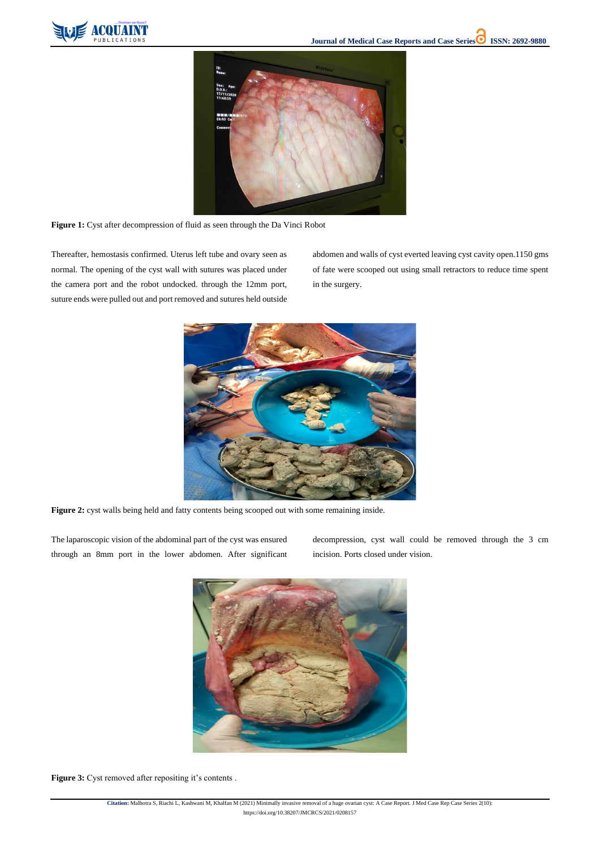

**Citation:** Malhotra S, Riachi L, Kashwani M, Khalfan M (2021) Minimally invasive removal of a huge ovarian cyst: A Case Report. J Med Case Rep Case Series 2(10):

https://doi.org/10.38207/JMCRCS/2021/0208157



**Figure 1:** Cyst after decompression of fluid as seen through the Da Vinci Robot

Thereafter, hemostasis confirmed. Uterus left tube and ovary seen as normal. The opening of the cyst wall with sutures was placed under the camera port and the robot undocked. through the 12mm port, suture ends were pulled out and port removed and sutures held outside

abdomen and walls of cyst everted leaving cyst cavity open.1150 gms of fate were scooped out using small retractors to reduce time spent in the surgery.



**Figure 2:** cyst walls being held and fatty contents being scooped out with some remaining inside.

The laparoscopic vision of the abdominal part of the cyst was ensured through an 8mm port in the lower abdomen. After significant

decompression, cyst wall could be removed through the 3 cm incision. Ports closed under vision.



**Figure 3:** Cyst removed after repositing it's contents .